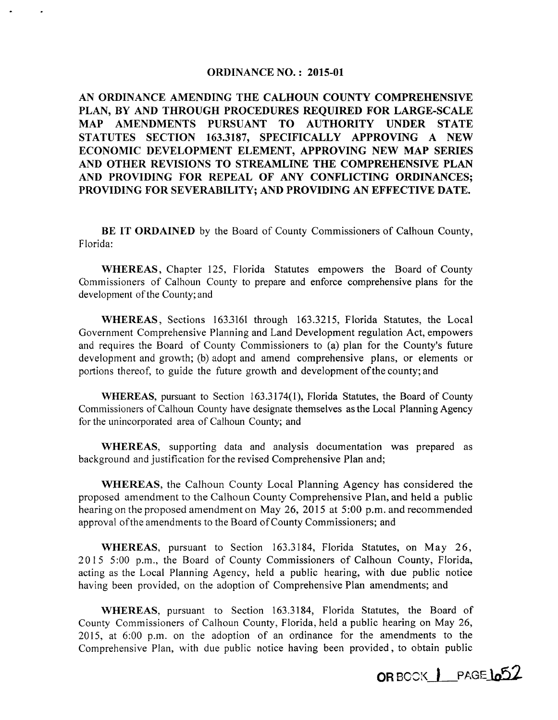## ORDINANCE NO. : 2015-01

AN ORDINANCE AMENDING THE CALHOUN COUNTY COMPREHENSIVE PLAN, BY AND THROUGH PROCEDURES REQUIRED FOR LARGE-SCALE MAP AMENDMENTS PURSUANT TO AUTHORITY UNDER STATE STATUTES SECTION 163.3187, SPECIFICALLY APPROVING A NEW ECONOMIC DEVELOPMENT ELEMENT, APPROVING NEW MAP SERIES AND OTHER REVISIONS TO STREAMLINE THE COMPREHENSIVE PLAN AND PROVIDING FOR REPEAL OF ANY CONFLICTING ORDINANCES; PROVIDING FOR SEVERABILITY; AND PROVIDING AN EFFECTIVE DATE.

BE IT ORDAINED by the Board of County Commissioners of Calhoun County, Florida:

WHEREAS, Chapter 125, Florida Statutes empowers the Board of County Commissioners of Calhoun County to prepare and enforce comprehensive plans for the development of the County; and

WHEREAS, Sections 1633161 through 163.3215, Florida Statutes, the Local Government Comprehensive Planning and Land Development regulation Act, empowers and requires the Board of County Commissioners to (a) plan for the County's future development and growth; (b) adopt and amend comprehensive plans, or elements or portions thereof, to guide the future growth and development of the county; and

WHEREAS, pursuant to Section  $163.3174(1)$ , Florida Statutes, the Board of County Commissioners of Calhoun County have designate themselves as the Local Planning Agency for the unincorporated area of Calhoun County; and

WHEREAS, supporting data and analysis documentation was prepared as background and justification for the revised Comprehensive Plan and;

WHEREAS, the Calhoun County Local Planning Agency has considered the proposed amendment to the Calhoun County Comprehensive Plan, and held a public hearing on the proposed amendment on May 26, 2015 at 5:00 p.m. and recommended approval of the amendments to the Board of County Commissioners; and

WHEREAS, pursuant to Section 163.3184, Florida Statutes, on May 26, 2015 5:00 p.m., the Board of County Commissioners of Calhoun County, Florida, acting as the Local Planning Agency, held a public hearing, with due public notice having been provided, on the adoption of Comprehensive Plan amendments; and

WHEREAS, pursuant to Section 163.3184, Florida Statutes, the Board of County Commissioners of Calhoun County, Florida, held a public hearing on May 26, 2015, at 6:00 p.m. on the adoption of an ordinance for the amendments to the Comprehensive Plan, with due public notice having been provided, to obtain public

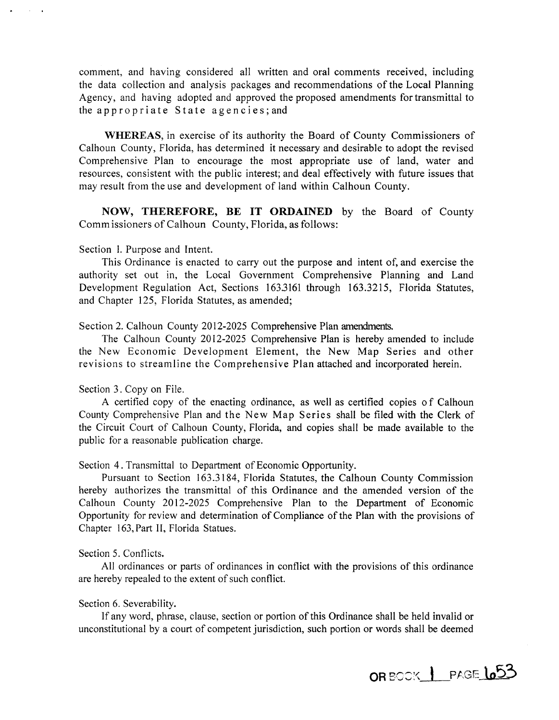comment, and having considered all written and oral comments received, including the data collection and analysis packages and recommendations of the Local Planning Agency, and having adopted and approved the proposed amendments for transmittal to the appropriate State agencies; and

**WHEREAS,** in exercise of its authority the Board of County Commissioners of Calhoun County, Florida, has determined it necessary and desirable to adopt the revised Comprehensive Plan to encourage the most appropriate use of land, water and resources, consistent with the public interest; and deal effectively with future issues that may result from the use and development of land within Calhoun County.

**NOW, THEREFORE, BE IT ORDAINED** by the Board of County Commissioners of Calhoun County, Florida, as follows:

Section I. Purpose and Intent.

This Ordinance is enacted to carry out the purpose and intent of, and exercise the authority set out in, the Local Government Comprehensive Planning and Land Development Regulation Act, Sections 1633161 through 163.3215, Florida Statutes, and Chapter 125, Florida Statutes, as amended;

Section 2. Calhoun County 2012-2025 Comprehensive Plan amendments.

The Calhoun County 2012-2025 Comprehensive Plan is hereby amended to include the New Economic Development Element, the New Map Series and other revisions to streamline the Comprehensive Plan attached and incorporated herein.

Section 3. Copy on File.

A certified copy of the enacting ordinance, as well as certified copies of Calhoun County Comprehensive Plan and the New Map Series shall be filed with the Clerk of the Circuit Court of Calhoun County, Florida, and copies shall be made available to the public for a reasonable publication charge.

Section 4. Transmittal to Department of Economic Opportunity.

Pursuant to Section 163.3184, Florida Statutes, the Calhoun County Commission hereby authorizes the transmittal of this Ordinance and the amended version of the Calhoun County 2012-2025 Comprehensive Plan to the Department of Economic Opportunity for review and determination of Compliance of the Plan with the provisions of Chapter 163, Part II, Florida Statues.

## Section 5. Conflicts.

All ordinances or parts of ordinances in conflict with the provisions of this ordinance are hereby repealed to the extent of such conflict.

## Section 6. Severability.

If any word, phrase, clause, section or portion of this Ordinance shall be held invalid or unconstitutional by a court of competent jurisdiction, such portion or words shall be deemed